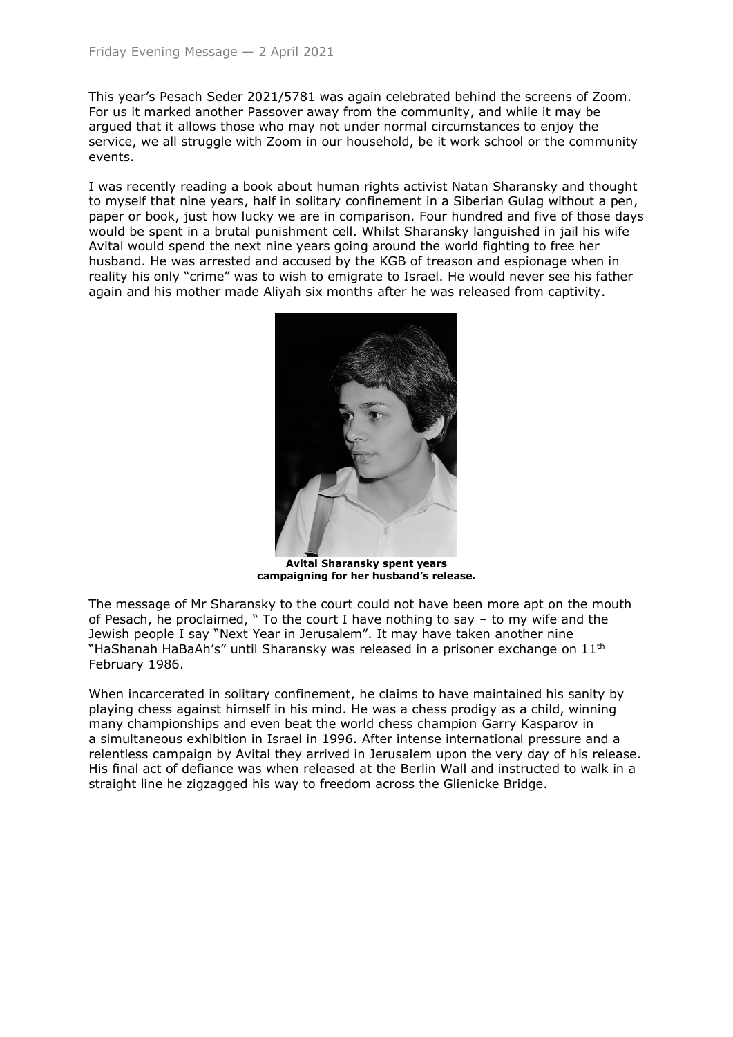This year's Pesach Seder 2021/5781 was again celebrated behind the screens of Zoom. For us it marked another Passover away from the community, and while it may be argued that it allows those who may not under normal circumstances to enjoy the service, we all struggle with Zoom in our household, be it work school or the community events.

I was recently reading a book about human rights activist Natan Sharansky and thought to myself that nine years, half in solitary confinement in a Siberian Gulag without a pen, paper or book, just how lucky we are in comparison. Four hundred and five of those days would be spent in a brutal punishment cell. Whilst Sharansky languished in jail his wife Avital would spend the next nine years going around the world fighting to free her husband. He was arrested and accused by the KGB of treason and espionage when in reality his only "crime" was to wish to emigrate to Israel. He would never see his father again and his mother made Aliyah six months after he was released from captivity.



**Avital Sharansky spent years campaigning for her husband's release.**

The message of Mr Sharansky to the court could not have been more apt on the mouth of Pesach, he proclaimed, " To the court I have nothing to say – to my wife and the Jewish people I say "Next Year in Jerusalem". It may have taken another nine "HaShanah HaBaAh's" until Sharansky was released in a prisoner exchange on 11<sup>th</sup> February 1986.

When incarcerated in solitary confinement, he claims to have maintained his sanity by playing chess against himself in his mind. He was a chess prodigy as a child, winning many championships and even beat the world chess champion Garry Kasparov in a simultaneous exhibition in Israel in 1996. After intense international pressure and a relentless campaign by Avital they arrived in Jerusalem upon the very day of his release. His final act of defiance was when released at the Berlin Wall and instructed to walk in a straight line he zigzagged his way to freedom across the Glienicke Bridge.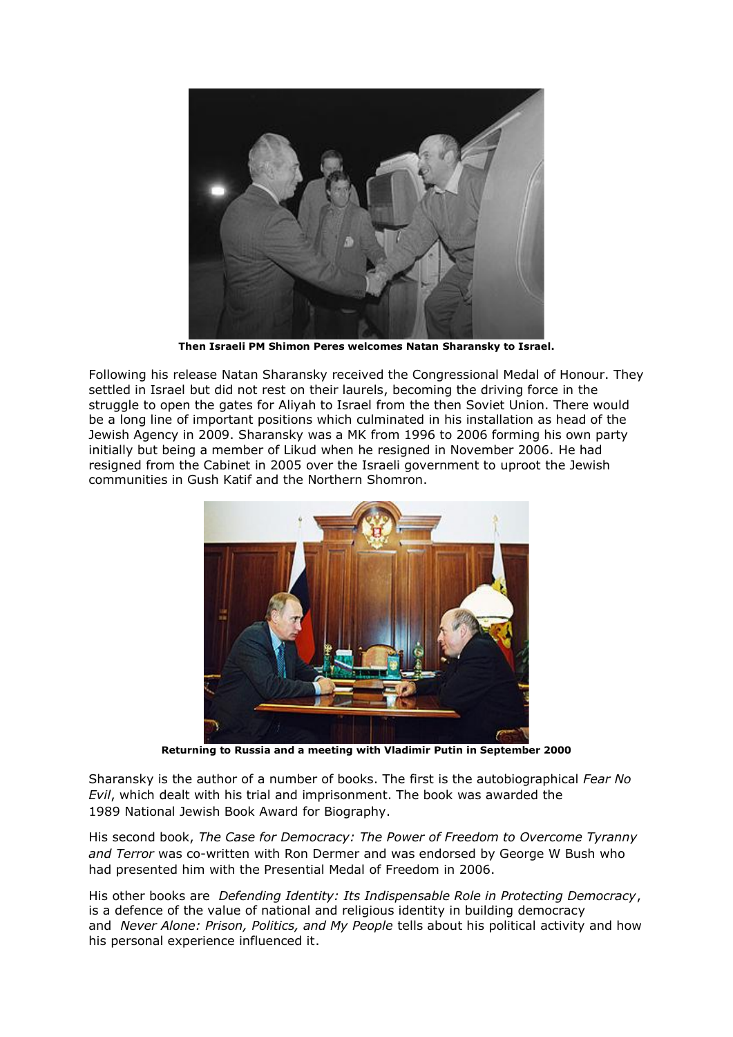

**Then Israeli PM Shimon Peres welcomes Natan Sharansky to Israel.**

Following his release Natan Sharansky received the Congressional Medal of Honour. They settled in Israel but did not rest on their laurels, becoming the driving force in the struggle to open the gates for Aliyah to Israel from the then Soviet Union. There would be a long line of important positions which culminated in his installation as head of the Jewish Agency in 2009. Sharansky was a MK from 1996 to 2006 forming his own party initially but being a member of Likud when he resigned in November 2006. He had resigned from the Cabinet in 2005 over the Israeli government to uproot the Jewish communities in Gush Katif and the Northern Shomron.



**Returning to Russia and a meeting with Vladimir Putin in September 2000**

Sharansky is the author of a number of books. The first is the autobiographical *Fear No Evil*, which dealt with his trial and imprisonment. The book was awarded the 1989 National Jewish Book Award for Biography.

His second book, *The Case for Democracy: The Power of Freedom to Overcome Tyranny and Terror* was co-written with Ron Dermer and was endorsed by George W Bush who had presented him with the Presential Medal of Freedom in 2006.

His other books are *Defending Identity: Its Indispensable Role in Protecting Democracy*, is a defence of the value of national and religious identity in building democracy and *Never Alone: Prison, Politics, and My People* tells about his political activity and how his personal experience influenced it.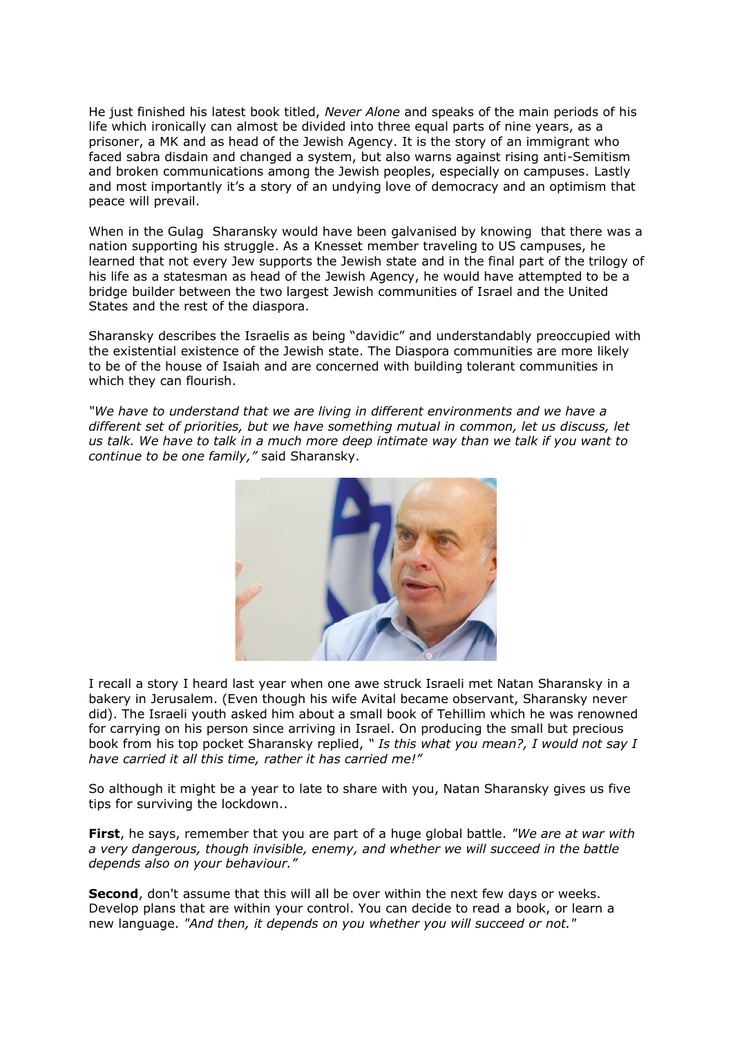He just finished his latest book titled, *Never Alone* and speaks of the main periods of his life which ironically can almost be divided into three equal parts of nine years, as a prisoner, a MK and as head of the Jewish Agency. It is the story of an immigrant who faced sabra disdain and changed a system, but also warns against rising anti-Semitism and broken communications among the Jewish peoples, especially on campuses. Lastly and most importantly it's a story of an undying love of democracy and an optimism that peace will prevail.

When in the Gulag Sharansky would have been galvanised by knowing that there was a nation supporting his struggle. As a Knesset member traveling to US campuses, he learned that not every Jew supports the Jewish state and in the final part of the trilogy of his life as a statesman as head of the Jewish Agency, he would have attempted to be a bridge builder between the two largest Jewish communities of Israel and the United States and the rest of the diaspora.

Sharansky describes the Israelis as being "davidic" and understandably preoccupied with the existential existence of the Jewish state. The Diaspora communities are more likely to be of the house of Isaiah and are concerned with building tolerant communities in which they can flourish.

*"We have to understand that we are living in different environments and we have a different set of priorities, but we have something mutual in common, let us discuss, let us talk. We have to talk in a much more deep intimate way than we talk if you want to continue to be one family,"* said Sharansky.



I recall a story I heard last year when one awe struck Israeli met Natan Sharansky in a bakery in Jerusalem. (Even though his wife Avital became observant, Sharansky never did). The Israeli youth asked him about a small book of Tehillim which he was renowned for carrying on his person since arriving in Israel. On producing the small but precious book from his top pocket Sharansky replied, *" Is this what you mean?, I would not say I have carried it all this time, rather it has carried me!"*

So although it might be a year to late to share with you, Natan Sharansky gives us five tips for surviving the lockdown..

**First**, he says, remember that you are part of a huge global battle. *"We are at war with a very dangerous, though invisible, enemy, and whether we will succeed in the battle depends also on your behaviour."*

**Second**, don't assume that this will all be over within the next few days or weeks. Develop plans that are within your control. You can decide to read a book, or learn a new language. *"And then, it depends on you whether you will succeed or not."*